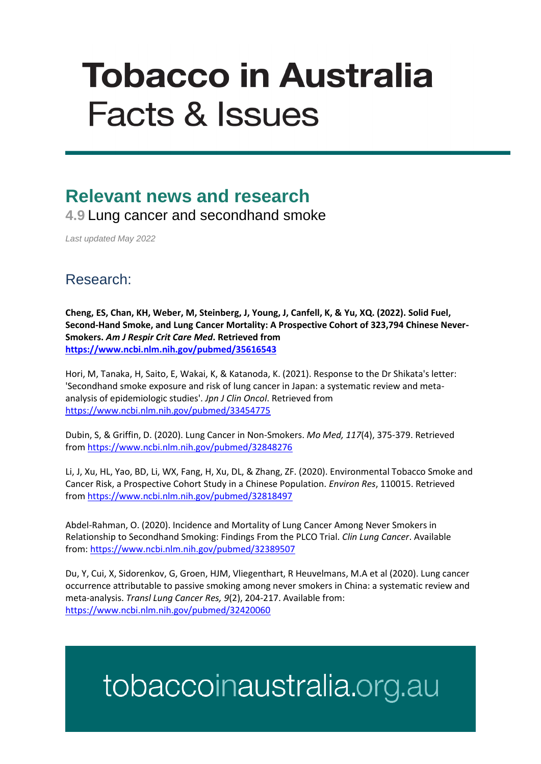# **Tobacco in Australia Facts & Issues**

### **Relevant news and research**

**4.9** Lung cancer and secondhand smoke

*Last updated May 2022*

#### Research:

**Cheng, ES, Chan, KH, Weber, M, Steinberg, J, Young, J, Canfell, K, & Yu, XQ. (2022). Solid Fuel, Second-Hand Smoke, and Lung Cancer Mortality: A Prospective Cohort of 323,794 Chinese Never-Smokers.** *Am J Respir Crit Care Med***. Retrieved from <https://www.ncbi.nlm.nih.gov/pubmed/35616543>**

Hori, M, Tanaka, H, Saito, E, Wakai, K, & Katanoda, K. (2021). Response to the Dr Shikata's letter: 'Secondhand smoke exposure and risk of lung cancer in Japan: a systematic review and metaanalysis of epidemiologic studies'. *Jpn J Clin Oncol*. Retrieved from <https://www.ncbi.nlm.nih.gov/pubmed/33454775>

Dubin, S, & Griffin, D. (2020). Lung Cancer in Non-Smokers. *Mo Med, 117*(4), 375-379. Retrieved from<https://www.ncbi.nlm.nih.gov/pubmed/32848276>

Li, J, Xu, HL, Yao, BD, Li, WX, Fang, H, Xu, DL, & Zhang, ZF. (2020). Environmental Tobacco Smoke and Cancer Risk, a Prospective Cohort Study in a Chinese Population. *Environ Res*, 110015. Retrieved from<https://www.ncbi.nlm.nih.gov/pubmed/32818497>

Abdel-Rahman, O. (2020). Incidence and Mortality of Lung Cancer Among Never Smokers in Relationship to Secondhand Smoking: Findings From the PLCO Trial. *Clin Lung Cancer*. Available from:<https://www.ncbi.nlm.nih.gov/pubmed/32389507>

Du, Y, Cui, X, Sidorenkov, G, Groen, HJM, Vliegenthart, R Heuvelmans, M.A et al (2020). Lung cancer occurrence attributable to passive smoking among never smokers in China: a systematic review and meta-analysis. *Transl Lung Cancer Res, 9*(2), 204-217. Available from: <https://www.ncbi.nlm.nih.gov/pubmed/32420060>

## tobaccoinaustralia.org.au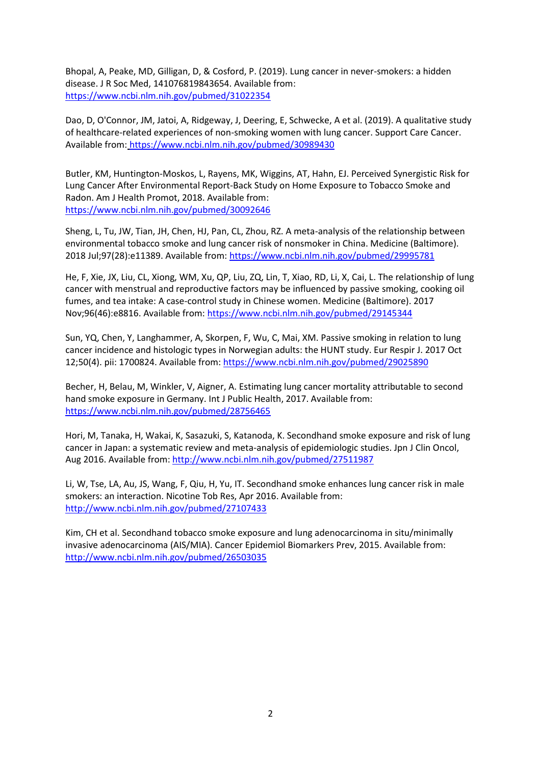Bhopal, A, Peake, MD, Gilligan, D, & Cosford, P. (2019). Lung cancer in never-smokers: a hidden disease. J R Soc Med, 141076819843654. Available from: <https://www.ncbi.nlm.nih.gov/pubmed/31022354>

Dao, D, O'Connor, JM, Jatoi, A, Ridgeway, J, Deering, E, Schwecke, A et al. (2019). A qualitative study of healthcare-related experiences of non-smoking women with lung cancer. Support Care Cancer. Available from: <https://www.ncbi.nlm.nih.gov/pubmed/30989430>

Butler, KM, Huntington-Moskos, L, Rayens, MK, Wiggins, AT, Hahn, EJ. Perceived Synergistic Risk for Lung Cancer After Environmental Report-Back Study on Home Exposure to Tobacco Smoke and Radon. Am J Health Promot, 2018. Available from: <https://www.ncbi.nlm.nih.gov/pubmed/30092646>

Sheng, L, Tu, JW, Tian, JH, Chen, HJ, Pan, CL, Zhou, RZ. A meta-analysis of the relationship between environmental tobacco smoke and lung cancer risk of nonsmoker in China. Medicine (Baltimore). 2018 Jul;97(28):e11389. Available from:<https://www.ncbi.nlm.nih.gov/pubmed/29995781>

He, F, Xie, JX, Liu, CL, Xiong, WM, Xu, QP, Liu, ZQ, Lin, T, Xiao, RD, Li, X, Cai, L. The relationship of lung cancer with menstrual and reproductive factors may be influenced by passive smoking, cooking oil fumes, and tea intake: A case-control study in Chinese women. Medicine (Baltimore). 2017 Nov;96(46):e8816. Available from:<https://www.ncbi.nlm.nih.gov/pubmed/29145344>

Sun, YQ, Chen, Y, Langhammer, A, Skorpen, F, Wu, C, Mai, XM. Passive smoking in relation to lung cancer incidence and histologic types in Norwegian adults: the HUNT study. Eur Respir J. 2017 Oct 12;50(4). pii: 1700824. Available from[: https://www.ncbi.nlm.nih.gov/pubmed/29025890](https://www.ncbi.nlm.nih.gov/pubmed/29025890)

Becher, H, Belau, M, Winkler, V, Aigner, A. Estimating lung cancer mortality attributable to second hand smoke exposure in Germany. Int J Public Health, 2017. Available from: <https://www.ncbi.nlm.nih.gov/pubmed/28756465>

Hori, M, Tanaka, H, Wakai, K, Sasazuki, S, Katanoda, K. Secondhand smoke exposure and risk of lung cancer in Japan: a systematic review and meta-analysis of epidemiologic studies. Jpn J Clin Oncol, Aug 2016. Available from:<http://www.ncbi.nlm.nih.gov/pubmed/27511987>

Li, W, Tse, LA, Au, JS, Wang, F, Qiu, H, Yu, IT. Secondhand smoke enhances lung cancer risk in male smokers: an interaction. Nicotine Tob Res, Apr 2016. Available from: <http://www.ncbi.nlm.nih.gov/pubmed/27107433>

Kim, CH et al. Secondhand tobacco smoke exposure and lung adenocarcinoma in situ/minimally invasive adenocarcinoma (AIS/MIA). Cancer Epidemiol Biomarkers Prev, 2015. Available from: <http://www.ncbi.nlm.nih.gov/pubmed/26503035>